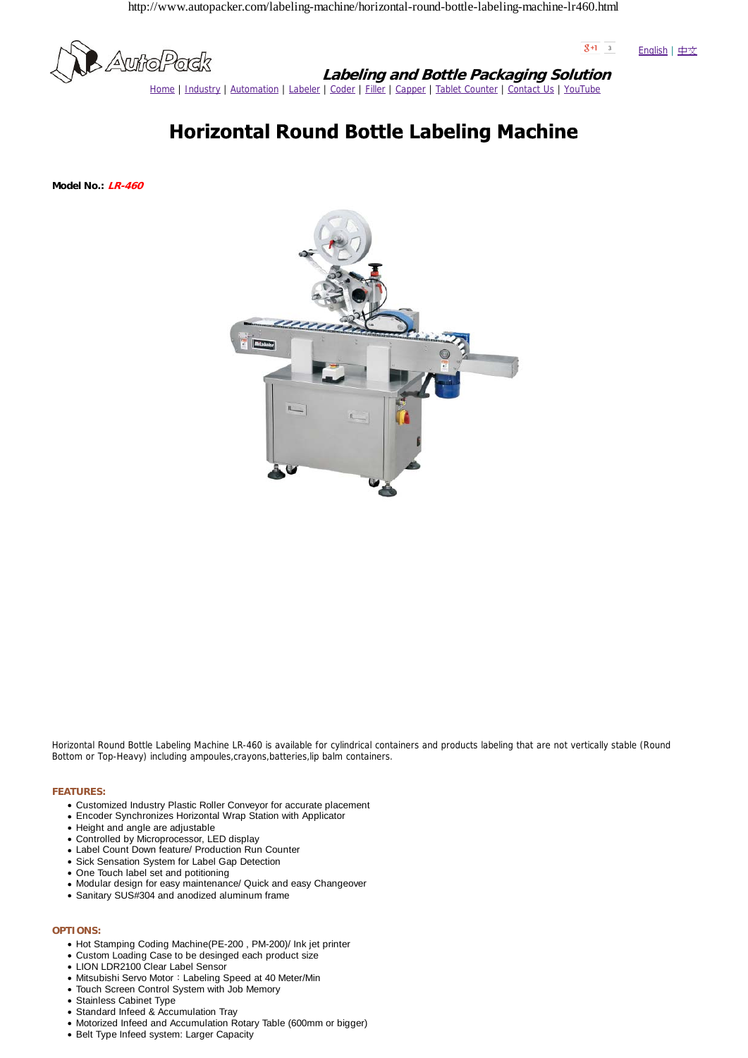http://www.autopacker.com/labeling-machine/horizontal-round-bottle-labeling-machine-lr460.html



 $8+1$  3 English | 中文

**Labeling and Bottle Packaging Solution** Home | Industry | Automation | Labeler | Coder | Filler | Capper | Tablet Counter | Contact Us | YouTube

## **Horizontal Round Bottle Labeling Machine**

**Model No.: LR-460**



Horizontal Round Bottle Labeling Machine LR-460 is available for cylindrical containers and products labeling that are not vertically stable (Round Bottom or Top-Heavy) including ampoules,crayons,batteries,lip balm containers.

## **FEATURES:**

- Customized Industry Plastic Roller Conveyor for accurate placement
- Encoder Synchronizes Horizontal Wrap Station with Applicator
- Height and angle are adjustable
- Controlled by Microprocessor, LED display
- Label Count Down feature/ Production Run Counter
- Sick Sensation System for Label Gap Detection
- One Touch label set and potitioning
- Modular design for easy maintenance/ Quick and easy Changeover
- Sanitary SUS#304 and anodized aluminum frame
- **OPTIONS:**
	- Hot Stamping Coding Machine(PE-200, PM-200)/ Ink jet printer
	- Custom Loading Case to be desinged each product size
	- LION LDR2100 Clear Label Sensor
	- Mitsubishi Servo Motor: Labeling Speed at 40 Meter/Min
	- Touch Screen Control System with Job Memory
	- Stainless Cabinet Type
	- Standard Infeed & Accumulation Tray
	- Motorized Infeed and Accumulation Rotary Table (600mm or bigger)
	- Belt Type Infeed system: Larger Capacity